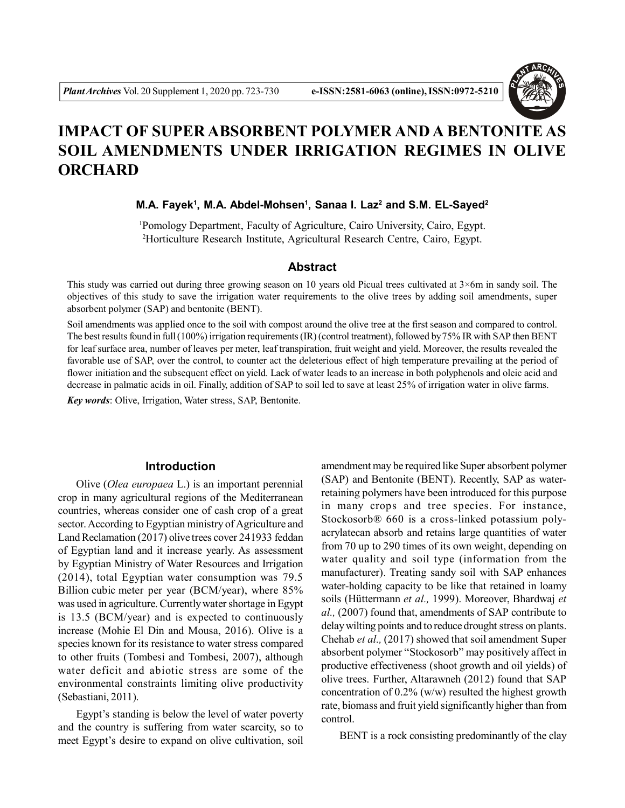

# **IMPACT OF SUPER ABSORBENT POLYMER AND A BENTONITE AS SOIL AMENDMENTS UNDER IRRIGATION REGIMES IN OLIVE ORCHARD**

**M.A. Fayek<sup>1</sup> , M.A. Abdel-Mohsen<sup>1</sup> , Sanaa I. Laz<sup>2</sup> and S.M. EL-Sayed<sup>2</sup>**

<sup>1</sup>Pomology Department, Faculty of Agriculture, Cairo University, Cairo, Egypt. <sup>2</sup>Horticulture Research Institute, Agricultural Research Centre, Cairo, Egypt.

## **Abstract**

This study was carried out during three growing season on 10 years old Picual trees cultivated at 3×6m in sandy soil. The objectives of this study to save the irrigation water requirements to the olive trees by adding soil amendments, super absorbent polymer (SAP) and bentonite (BENT).

Soil amendments was applied once to the soil with compost around the olive tree at the first season and compared to control. The best results found in full (100%) irrigation requirements (IR) (control treatment), followed by 75% IR with SAP then BENT for leaf surface area, number of leaves per meter, leaf transpiration, fruit weight and yield. Moreover, the results revealed the favorable use of SAP, over the control, to counter act the deleterious effect of high temperature prevailing at the period of flower initiation and the subsequent effect on yield. Lack of water leads to an increase in both polyphenols and oleic acid and decrease in palmatic acids in oil. Finally, addition of SAP to soil led to save at least 25% of irrigation water in olive farms.

*Key words*: Olive, Irrigation, Water stress, SAP, Bentonite.

# **Introduction**

Olive (*Olea europaea* L.) is an important perennial crop in many agricultural regions of the Mediterranean countries, whereas consider one of cash crop of a great sector. According to Egyptian ministry of Agriculture and Land Reclamation (2017) olive trees cover 241933 feddan of Egyptian land and it increase yearly. As assessment by Egyptian Ministry of Water Resources and Irrigation (2014), total Egyptian water consumption was 79.5 Billion cubic meter per year (BCM/year), where 85% was used in agriculture. Currently water shortage in Egypt is 13.5 (BCM/year) and is expected to continuously increase (Mohie El Din and Mousa, 2016). Olive is a species known for its resistance to water stress compared to other fruits (Tombesi and Tombesi, 2007), although water deficit and abiotic stress are some of the environmental constraints limiting olive productivity (Sebastiani, 2011).

Egypt's standing is below the level of water poverty and the country is suffering from water scarcity, so to meet Egypt's desire to expand on olive cultivation, soil

amendment may be required like Super absorbent polymer (SAP) and Bentonite (BENT). Recently, SAP as waterretaining polymers have been introduced for this purpose in many crops and tree species. For instance, Stockosorb® 660 is a cross-linked potassium polyacrylatecan absorb and retains large quantities of water from 70 up to 290 times of its own weight, depending on water quality and soil type (information from the manufacturer). Treating sandy soil with SAP enhances water-holding capacity to be like that retained in loamy soils (Hüttermann *et al.,* 1999). Moreover, Bhardwaj *et al.,* (2007) found that, amendments of SAP contribute to delay wilting points and to reduce drought stress on plants. Chehab *et al.,* (2017) showed that soil amendment Super absorbent polymer "Stockosorb" may positively affect in productive effectiveness (shoot growth and oil yields) of olive trees. Further, Altarawneh (2012) found that SAP concentration of 0.2% (w/w) resulted the highest growth rate, biomass and fruit yield significantly higher than from control.

BENT is a rock consisting predominantly of the clay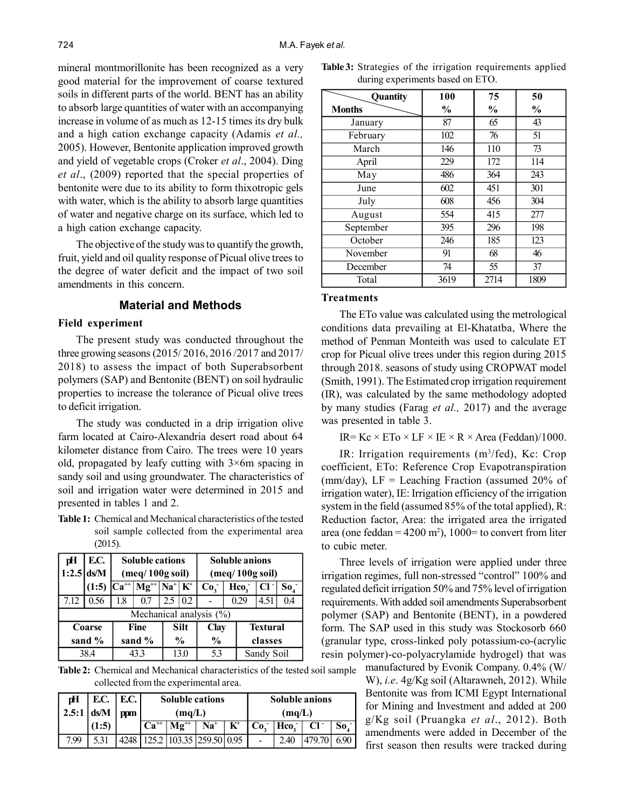mineral montmorillonite has been recognized as a very good material for the improvement of coarse textured soils in different parts of the world. BENT has an ability to absorb large quantities of water with an accompanying increase in volume of as much as 12-15 times its dry bulk and a high cation exchange capacity (Adamis *et al.,* 2005). However, Bentonite application improved growth and yield of vegetable crops (Croker *et al*., 2004). Ding *et al*., (2009) reported that the special properties of bentonite were due to its ability to form thixotropic gels with water, which is the ability to absorb large quantities of water and negative charge on its surface, which led to a high cation exchange capacity.

The objective of the study was to quantify the growth, fruit, yield and oil quality response of Picual olive trees to the degree of water deficit and the impact of two soil amendments in this concern.

# **Material and Methods**

#### **Field experiment**

The present study was conducted throughout the three growing seasons (2015/ 2016, 2016 /2017 and 2017/ 2018) to assess the impact of both Superabsorbent polymers (SAP) and Bentonite (BENT) on soil hydraulic properties to increase the tolerance of Picual olive trees to deficit irrigation.

The study was conducted in a drip irrigation olive farm located at Cairo-Alexandria desert road about 64 kilometer distance from Cairo. The trees were 10 years old, propagated by leafy cutting with  $3\times 6m$  spacing in sandy soil and using groundwater. The characteristics of soil and irrigation water were determined in 2015 and presented in tables 1 and 2.

**Table 1:** Chemical and Mechanical characteristics of the tested soil sample collected from the experimental area (2015).

| рH   | E.C.         |     | <b>Soluble cations</b>       |                                  |                            |                         |                 |                  | <b>Soluble anions</b> |                 |  |
|------|--------------|-----|------------------------------|----------------------------------|----------------------------|-------------------------|-----------------|------------------|-----------------------|-----------------|--|
|      | $1:2.5$ ds/M |     |                              | $(\text{meq}/100g \text{ soil})$ |                            |                         |                 | (meq/100g soil)  |                       |                 |  |
|      | (1:5)        |     | $ Ca^{++} Mg^{++} Na^+ K^+ $ |                                  |                            | Co <sub>2</sub>         |                 | Hco <sub>2</sub> | $Cl^-$                | So <sub>4</sub> |  |
| 7.12 | 0.56         | 1.8 | 0.7                          | 2.5                              | 0.2                        |                         |                 | 0.29             | 4.51                  | 0.4             |  |
|      |              |     |                              |                                  |                            | Mechanical analysis (%) |                 |                  |                       |                 |  |
|      | Coarse       |     | Fine                         |                                  | <b>Silt</b><br><b>Clay</b> |                         | <b>Textural</b> |                  |                       |                 |  |
|      | sand %       |     | sand %                       |                                  | $\frac{6}{9}$              | $\frac{0}{0}$           |                 | classes          |                       |                 |  |
|      | 38.4         |     |                              | 13.0                             | 5.3                        |                         | Sandy Soil      |                  |                       |                 |  |

**Table 2:** Chemical and Mechanical characteristics of the tested soil sample collected from the experimental area.

| рH             | E.C.  | 1 E.C. |                          | <b>Soluble cations</b>                                   |  |     |   | <b>Soluble anions</b> |        |     |  |
|----------------|-------|--------|--------------------------|----------------------------------------------------------|--|-----|---|-----------------------|--------|-----|--|
| $2.5:1$   ds/M |       | ppm    |                          | (mq/L)                                                   |  |     |   | (mq/L)                |        |     |  |
|                | (1:5) |        | $\cdot$ Ca <sup>++</sup> | $\mathbf{K}^{\!+}$<br>$Na+$<br>$\mathbf{M} \mathbf{g}^+$ |  |     |   | $ Co^{-} Hco^{-} $    | $Cl^-$ | So. |  |
| 7.99           |       |        |                          |                                                          |  | 095 | - | 2.40                  |        |     |  |

|                                  |  | <b>Table 3:</b> Strategies of the irrigation requirements applied |  |
|----------------------------------|--|-------------------------------------------------------------------|--|
| during experiments based on ETO. |  |                                                                   |  |

| Quantity      | 100           | 75            | 50            |
|---------------|---------------|---------------|---------------|
| <b>Months</b> | $\frac{6}{9}$ | $\frac{6}{9}$ | $\frac{6}{9}$ |
| January       | 87            | 65            | 43            |
| February      | 102           | 76            | 51            |
| March         | 146           | 110           | 73            |
| April         | 229           | 172           | 114           |
| May           | 486           | 364           | 243           |
| June          | 602           | 451           | 301           |
| July          | 608           | 456           | 304           |
| August        | 554           | 415           | 277           |
| September     | 395           | 296           | 198           |
| October       | 246           | 185           | 123           |
| November      | 91            | 68            | 46            |
| December      | 74            | 55            | 37            |
| Total         | 3619          | 2714          | 1809          |

#### **Treatments**

The ETo value was calculated using the metrological conditions data prevailing at El-Khatatba, Where the method of Penman Monteith was used to calculate ET crop for Picual olive trees under this region during 2015 through 2018. seasons of study using CROPWAT model (Smith, 1991). The Estimated crop irrigation requirement (IR), was calculated by the same methodology adopted by many studies (Farag *et al.,* 2017) and the average was presented in table 3.

IR=  $Kc \times ETo \times LF \times IE \times R \times Area$  (Feddan)/1000.

IR: Irrigation requirements (m<sup>3</sup>/fed), Kc: Crop coefficient, ETo: Reference Crop Evapotranspiration (mm/day),  $LF =$  Leaching Fraction (assumed 20% of irrigation water), IE: Irrigation efficiency of the irrigation system in the field (assumed 85% of the total applied), R: Reduction factor, Area: the irrigated area the irrigated area (one feddan =  $4200 \text{ m}^2$ ), 1000= to convert from liter to cubic meter.

Three levels of irrigation were applied under three irrigation regimes, full non-stressed "control" 100% and regulated deficit irrigation 50% and 75% level of irrigation requirements. With added soil amendments Superabsorbent polymer (SAP) and Bentonite (BENT), in a powdered form. The SAP used in this study was Stockosorb 660 (granular type, cross-linked poly potassium-co-(acrylic resin polymer)-co-polyacrylamide hydrogel) that was manufactured by Evonik Company. 0.4% (W/

W), *i.e*. 4g/Kg soil (Altarawneh, 2012). While Bentonite was from ICMI Egypt International for Mining and Investment and added at 200 g/Kg soil (Pruangka *et al*., 2012). Both amendments were added in December of the first season then results were tracked during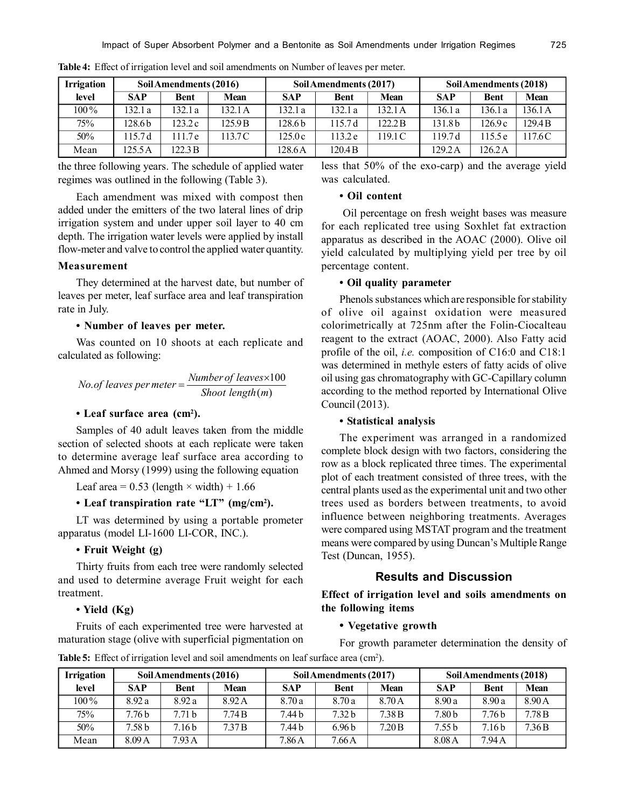| <b>Irrigation</b> |            | Soil Amendments (2016) |         |            | Soil Amendments (2017) |        | Soil Amendments (2018) |             |                    |  |
|-------------------|------------|------------------------|---------|------------|------------------------|--------|------------------------|-------------|--------------------|--|
| level             | <b>SAP</b> | <b>Bent</b>            | Mean    | <b>SAP</b> | <b>Bent</b>            | Mean   | <b>SAP</b>             | <b>Bent</b> | <b>Mean</b>        |  |
| $100\%$           | 132.1 a    | 132.1 a                | 132.1 A | 132.1a     | 132.1 a                | 132.1A | 136.1 a                | 136.1 a     | 136.1A             |  |
| 75%               | 128.6 b    | 123.2c                 | 125.9 B | 128.6b     | 15.7d                  | 22.2B  | 131.8 <sub>b</sub>     | 126.9 c     | 129.4 <sub>B</sub> |  |
| 50%               | 15.7d      | 111.7e                 | 13.7 C  | 125.0c     | 113.2 e                | 19.1C  | 197d                   | 115.5 e     | 117.6C             |  |
| Mean              | 125.5A     | 122.3 B                |         | 128.6A     | 120.4 B                |        | 129.2A                 | 126.2A      |                    |  |

**Table 4:** Effect of irrigation level and soil amendments on Number of leaves per meter.

the three following years. The schedule of applied water regimes was outlined in the following (Table 3).

Each amendment was mixed with compost then added under the emitters of the two lateral lines of drip irrigation system and under upper soil layer to 40 cm depth. The irrigation water levels were applied by install flow-meter and valve to control the applied water quantity.

## **Measurement**

They determined at the harvest date, but number of leaves per meter, leaf surface area and leaf transpiration rate in July.

# **• Number of leaves per meter.**

Was counted on 10 shoots at each replicate and calculated as following:

No. of leaves per meter = 
$$
\frac{Number of leaves \times 100}{\text{Show length}(m)}
$$

# **• Leaf surface area (cm<sup>2</sup> ).**

Samples of 40 adult leaves taken from the middle section of selected shoots at each replicate were taken to determine average leaf surface area according to Ahmed and Morsy (1999) using the following equation

Leaf area =  $0.53$  (length  $\times$  width) + 1.66

# **• Leaf transpiration rate "LT" (mg/cm<sup>2</sup> ).**

LT was determined by using a portable prometer apparatus (model LI-1600 LI-COR, INC.).

# **• Fruit Weight (g)**

Thirty fruits from each tree were randomly selected and used to determine average Fruit weight for each treatment.

# **• Yield (Kg)**

Fruits of each experimented tree were harvested at maturation stage (olive with superficial pigmentation on

less that 50% of the exo-carp) and the average yield was calculated.

# **• Oil content**

 Oil percentage on fresh weight bases was measure for each replicated tree using Soxhlet fat extraction apparatus as described in the AOAC (2000). Olive oil yield calculated by multiplying yield per tree by oil percentage content.

#### **• Oil quality parameter**

Phenols substances which are responsible for stability of olive oil against oxidation were measured colorimetrically at 725nm after the Folin-Ciocalteau reagent to the extract (AOAC, 2000). Also Fatty acid profile of the oil, *i.e.* composition of C16:0 and C18:1 was determined in methyle esters of fatty acids of olive oil using gas chromatography with GC-Capillary column according to the method reported by International Olive Council (2013).

# **• Statistical analysis**

The experiment was arranged in a randomized complete block design with two factors, considering the row as a block replicated three times. The experimental plot of each treatment consisted of three trees, with the central plants used as the experimental unit and two other trees used as borders between treatments, to avoid influence between neighboring treatments. Averages were compared using MSTAT program and the treatment means were compared by using Duncan's Multiple Range Test (Duncan, 1955).

# **Results and Discussion**

**Effect of irrigation level and soils amendments on the following items**

## **• Vegetative growth**

For growth parameter determination the density of

Table 5: Effect of irrigation level and soil amendments on leaf surface area (cm<sup>2</sup>).

| <b>Irrigation</b> |            | Soil Amendments (2016) |        |            | Soil Amendments (2017) |                   | Soil Amendments (2018) |             |             |  |
|-------------------|------------|------------------------|--------|------------|------------------------|-------------------|------------------------|-------------|-------------|--|
| level             | <b>SAP</b> | <b>Bent</b>            | Mean   | <b>SAP</b> | <b>Bent</b>            | <b>Mean</b>       | <b>SAP</b>             | <b>Bent</b> | <b>Mean</b> |  |
| $100\%$           | 8.92a      | 8.92a                  | 8.92A  | 8.70a      | 8.70a                  | 8.70 A            | 8.90a                  | 8.90a       | 8.90 A      |  |
| 75%               | '.76 b     | 7.71h                  | 7.74B  | 7.44 b     | 7.32 <sub>b</sub>      | 7.38 <sub>B</sub> | 7.80 <sub>b</sub>      | 7.76b       | 7.78 B      |  |
| 50%               | .58 b      | 7.16 <sub>b</sub>      | 7.37 B | 7.44 b     | 6.96 <sub>b</sub>      | 7.20B             | 7.55 b                 | 7.16 b      | 7.36B       |  |
| Mean              | 8.09A      | 7.93A                  |        | 7.86A      | $7.66\,\mathrm{A}$     |                   | 8.08 <sub>A</sub>      | 7.94 A      |             |  |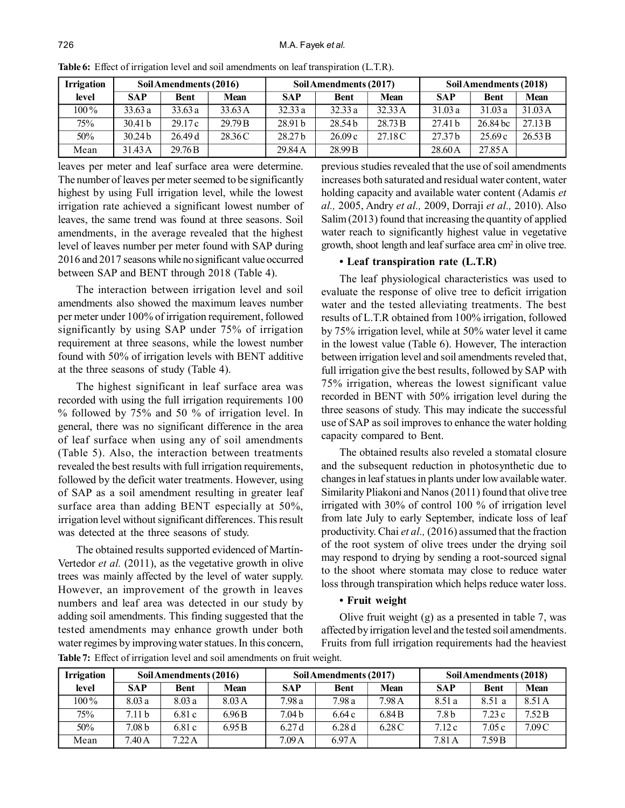| <b>Irrigation</b> |                    | Soil Amendments (2016) |         |                    | Soil Amendments (2017) |             | Soil Amendments (2018) |             |             |  |
|-------------------|--------------------|------------------------|---------|--------------------|------------------------|-------------|------------------------|-------------|-------------|--|
| level             | <b>SAP</b>         | <b>Bent</b>            | Mean    | <b>SAP</b>         | <b>Bent</b>            | <b>Mean</b> | <b>SAP</b>             | <b>Bent</b> | <b>Mean</b> |  |
| $100\%$           | 33.63a             | 33.63a                 | 33.63 A | 32.33a             | 32.33a                 | 32.33 A     | 31.03a                 | 31.03a      | 31.03 A     |  |
| 75%               | 30.41 <sub>b</sub> | 29.17c                 | 29.79 B | 28.91 <sub>b</sub> | 28.54 <sub>b</sub>     | 28.73 B     | 27.41 <sub>b</sub>     | 26.84 bc    | 27.13 B     |  |
| 50%               | 30.24 <sub>b</sub> | 26.49d                 | 28.36 C | 28.27 b            | 26.09c                 | 27.18 C     | 27.37 <sub>b</sub>     | 25.69c      | 26.53 B     |  |
| Mean              | 31.43 A            | 29.76 <sub>B</sub>     |         | 29.84A             | 28.99 B                |             | 28.60 A                | 27.85A      |             |  |

**Table 6:** Effect of irrigation level and soil amendments on leaf transpiration (L.T.R).

leaves per meter and leaf surface area were determine. The number of leaves per meter seemed to be significantly highest by using Full irrigation level, while the lowest irrigation rate achieved a significant lowest number of leaves, the same trend was found at three seasons. Soil amendments, in the average revealed that the highest level of leaves number per meter found with SAP during 2016 and 2017 seasons while no significant value occurred between SAP and BENT through 2018 (Table 4).

The interaction between irrigation level and soil amendments also showed the maximum leaves number per meter under 100% of irrigation requirement, followed significantly by using SAP under 75% of irrigation requirement at three seasons, while the lowest number found with 50% of irrigation levels with BENT additive at the three seasons of study (Table 4).

The highest significant in leaf surface area was recorded with using the full irrigation requirements 100 % followed by 75% and 50 % of irrigation level. In general, there was no significant difference in the area of leaf surface when using any of soil amendments (Table 5). Also, the interaction between treatments revealed the best results with full irrigation requirements, followed by the deficit water treatments. However, using of SAP as a soil amendment resulting in greater leaf surface area than adding BENT especially at 50%, irrigation level without significant differences. This result was detected at the three seasons of study.

The obtained results supported evidenced of Martín-Vertedor *et al.* (2011), as the vegetative growth in olive trees was mainly affected by the level of water supply. However, an improvement of the growth in leaves numbers and leaf area was detected in our study by adding soil amendments. This finding suggested that the tested amendments may enhance growth under both water regimes by improving water statues. In this concern, previous studies revealed that the use of soil amendments increases both saturated and residual water content, water holding capacity and available water content (Adamis *et al.,* 2005, Andry *et al.,* 2009, Dorraji *et al.,* 2010). Also Salim (2013) found that increasing the quantity of applied water reach to significantly highest value in vegetative growth, shoot length and leaf surface area cm<sup>2</sup> in olive tree.

## **• Leaf transpiration rate (L.T.R)**

The leaf physiological characteristics was used to evaluate the response of olive tree to deficit irrigation water and the tested alleviating treatments. The best results of L.T.R obtained from 100% irrigation, followed by 75% irrigation level, while at 50% water level it came in the lowest value (Table 6). However, The interaction between irrigation level and soil amendments reveled that, full irrigation give the best results, followed by SAP with 75% irrigation, whereas the lowest significant value recorded in BENT with 50% irrigation level during the three seasons of study. This may indicate the successful use of SAP as soil improves to enhance the water holding capacity compared to Bent.

The obtained results also reveled a stomatal closure and the subsequent reduction in photosynthetic due to changes in leaf statues in plants under low available water. Similarity Pliakoni and Nanos (2011) found that olive tree irrigated with 30% of control 100 % of irrigation level from late July to early September, indicate loss of leaf productivity. Chai *et al.,* (2016) assumed that the fraction of the root system of olive trees under the drying soil may respond to drying by sending a root-sourced signal to the shoot where stomata may close to reduce water loss through transpiration which helps reduce water loss.

## **• Fruit weight**

Olive fruit weight (g) as a presented in table 7, was affected by irrigation level and the tested soil amendments. Fruits from full irrigation requirements had the heaviest

| <b>Irrigation</b> |                   | Soil Amendments (2016) |        |                   | Soil Amendments (2017) |                   | Soil Amendments (2018) |             |        |  |
|-------------------|-------------------|------------------------|--------|-------------------|------------------------|-------------------|------------------------|-------------|--------|--|
| level             | <b>SAP</b>        | <b>Bent</b>            | Mean   | <b>SAP</b>        | <b>Bent</b>            | <b>Mean</b>       | <b>SAP</b>             | <b>Bent</b> | Mean   |  |
| $100\%$           | 8.03a             | 8.03a                  | 8.03 A | 7.98 a            | 7.98a                  | 7.98A             | 8.51 a                 | 8.51 a      | 8.51 A |  |
| 75%               | 7.11 <sub>b</sub> | 6.81c                  | 6.96B  | 7.04 b            | 6.64 c                 | 6.84 <sub>B</sub> | 7.8 b                  | 7.23c       | 7.52B  |  |
| 50%               | 7.08 <sub>b</sub> | 6.81c                  | 6.95B  | 6.27d             | 6.28d                  | 6.28 C            | 7.12c                  | 7.05c       | 7.09C  |  |
| Mean              | 7.40 A            | $7.22\,\mathrm{A}$     |        | 7.09 <sub>A</sub> | 6.97 A                 |                   | $7.81\,\mathrm{A}$     | 7.59B       |        |  |

**Table 7:** Effect of irrigation level and soil amendments on fruit weight.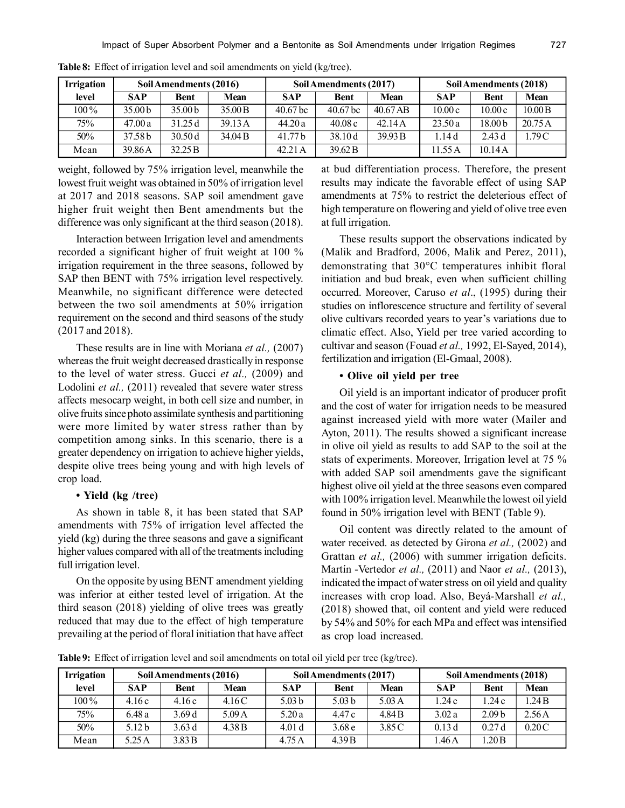| <b>Irrigation</b> |                    | Soil Amendments (2016) |             |                     | Soil Amendments (2017) |             | Soil Amendments (2018) |                    |             |  |
|-------------------|--------------------|------------------------|-------------|---------------------|------------------------|-------------|------------------------|--------------------|-------------|--|
| level             | <b>SAP</b>         | <b>Bent</b>            | <b>Mean</b> | <b>SAP</b>          | <b>Bent</b>            | <b>Mean</b> | <b>SAP</b>             | <b>Bent</b>        | <b>Mean</b> |  |
| $100\%$           | 35.00 <sub>b</sub> | 35.00 <sub>b</sub>     | 35.00 B     | 40.67 <sub>bc</sub> | 40.67 <sub>bc</sub>    | 40.67 AB    | 10.00c                 | 10.00c             | 10.00B      |  |
| 75%               | 47.00a             | 31.25d                 | 39.13A      | 44.20a              | 40.08c                 | 42.14A      | 23.50a                 | 18.00 <sub>b</sub> | 20.75A      |  |
| 50%               | 37.58b             | 30.50d                 | 34.04 B     | 41.77 b             | 38.10d                 | 39.93 B     | 1.14 d                 | 2.43d              | 1.79C       |  |
| Mean              | 39.86A             | 32.25 B                |             | 42.21 A             | 39.62 <sub>B</sub>     |             | 1.55 A                 | 1014A              |             |  |

**Table 8:** Effect of irrigation level and soil amendments on yield (kg/tree).

weight, followed by 75% irrigation level, meanwhile the lowest fruit weight was obtained in 50% of irrigation level at 2017 and 2018 seasons. SAP soil amendment gave higher fruit weight then Bent amendments but the difference was only significant at the third season (2018).

Interaction between Irrigation level and amendments recorded a significant higher of fruit weight at 100 % irrigation requirement in the three seasons, followed by SAP then BENT with 75% irrigation level respectively. Meanwhile, no significant difference were detected between the two soil amendments at 50% irrigation requirement on the second and third seasons of the study (2017 and 2018).

These results are in line with Moriana *et al.,* (2007) whereas the fruit weight decreased drastically in response to the level of water stress. Gucci *et al.,* (2009) and Lodolini *et al.*, (2011) revealed that severe water stress affects mesocarp weight, in both cell size and number, in olive fruits since photo assimilate synthesis and partitioning were more limited by water stress rather than by competition among sinks. In this scenario, there is a greater dependency on irrigation to achieve higher yields, despite olive trees being young and with high levels of crop load.

## **• Yield (kg /tree)**

As shown in table 8, it has been stated that SAP amendments with 75% of irrigation level affected the yield (kg) during the three seasons and gave a significant higher values compared with all of the treatments including full irrigation level.

On the opposite by using BENT amendment yielding was inferior at either tested level of irrigation. At the third season (2018) yielding of olive trees was greatly reduced that may due to the effect of high temperature prevailing at the period of floral initiation that have affect at bud differentiation process. Therefore, the present results may indicate the favorable effect of using SAP amendments at 75% to restrict the deleterious effect of high temperature on flowering and yield of olive tree even at full irrigation.

These results support the observations indicated by (Malik and Bradford, 2006, Malik and Perez, 2011), demonstrating that 30°C temperatures inhibit floral initiation and bud break, even when sufficient chilling occurred. Moreover, Caruso *et al*., (1995) during their studies on inflorescence structure and fertility of several olive cultivars recorded years to year's variations due to climatic effect. Also, Yield per tree varied according to cultivar and season (Fouad *et al.,* 1992, El-Sayed, 2014), fertilization and irrigation (El-Gmaal, 2008).

# **• Olive oil yield per tree**

Oil yield is an important indicator of producer profit and the cost of water for irrigation needs to be measured against increased yield with more water (Mailer and Ayton, 2011). The results showed a significant increase in olive oil yield as results to add SAP to the soil at the stats of experiments. Moreover, Irrigation level at 75 % with added SAP soil amendments gave the significant highest olive oil yield at the three seasons even compared with 100% irrigation level. Meanwhile the lowest oil yield found in 50% irrigation level with BENT (Table 9).

Oil content was directly related to the amount of water received. as detected by Girona *et al.,* (2002) and Grattan *et al.,* (2006) with summer irrigation deficits. Martín -Vertedor *et al.,* (2011) and Naor *et al.,* (2013), indicated the impact of water stress on oil yield and quality increases with crop load. Also, Beyá-Marshall *et al.,* (2018) showed that, oil content and yield were reduced by 54% and 50% for each MPa and effect was intensified as crop load increased.

**Table 9:** Effect of irrigation level and soil amendments on total oil yield per tree (kg/tree).

| <b>Irrigation</b> | Soil Amendments (2016) |             |        |                   | Soil Amendments (2017) |                 | Soil Amendments (2018) |                   |             |
|-------------------|------------------------|-------------|--------|-------------------|------------------------|-----------------|------------------------|-------------------|-------------|
| level             | <b>SAP</b>             | <b>Bent</b> | Mean   | <b>SAP</b>        | <b>Bent</b>            | <b>Mean</b>     | <b>SAP</b>             | <b>Bent</b>       | <b>Mean</b> |
| $100\%$           | 4.16c                  | 4.16c       | 4.16C  | 5.03 <sub>b</sub> | 5.03 <sub>b</sub>      | $5.03\text{ A}$ | 1.24c                  | 1.24c             | 1.24B       |
| 75%               | 6.48 a                 | 3.69d       | 5.09A  | 5.20a             | 4.47 c                 | 4.84 B          | 3.02a                  | 2.09 <sub>b</sub> | 2.56A       |
| 50%               | 5.12 <sub>b</sub>      | 3.63d       | 4.38 B | 4.01 <sub>d</sub> | 3.68 <sub>e</sub>      | 3.85 C          | 0.13d                  | 0.27d             | 0.20C       |
| Mean              | 5.25 A                 | 3.83B       |        | 4.75A             | 4.39 B                 |                 | .46A                   | 1.20B             |             |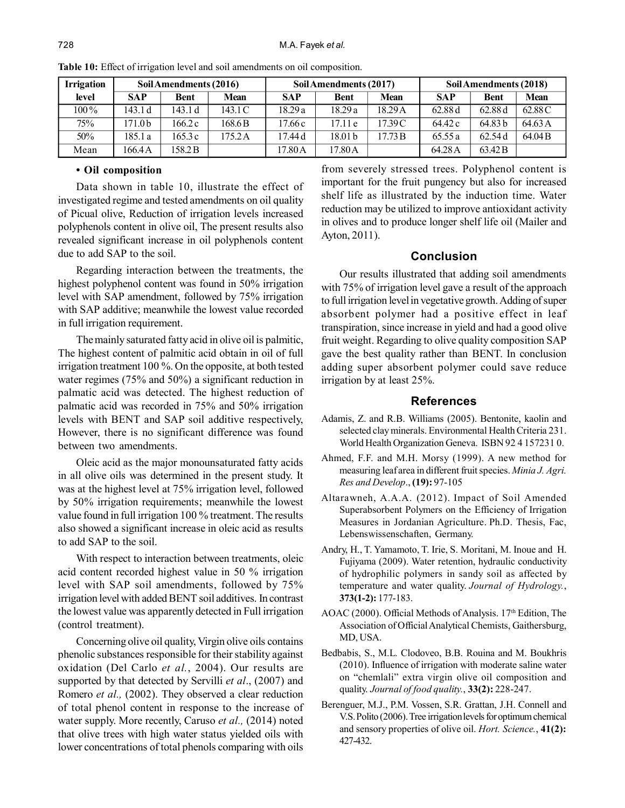| <b>Irrigation</b> |            | Soil Amendments (2016) |             |            | Soil Amendments (2017) |             | Soil Amendments (2018) |                    |             |  |
|-------------------|------------|------------------------|-------------|------------|------------------------|-------------|------------------------|--------------------|-------------|--|
| level             | <b>SAP</b> | <b>Bent</b>            | <b>Mean</b> | <b>SAP</b> | <b>Bent</b>            | <b>Mean</b> | <b>SAP</b>             | <b>Bent</b>        | <b>Mean</b> |  |
| $100\%$           | 143.1 d    | 143.1 d                | 143.1 C     | 18.29a     | 18.29 a                | 18.29 A     | 62.88 d                | 62.88 d            | 62.88 C     |  |
| 75%               | '71.0b     | 166.2 c                | 168.6B      | 17.66 c    | 17.11 e                | 17.39 C     | 64.42 c                | 64.83 <sub>b</sub> | 64.63 A     |  |
| 50%               | 185.1 a    | 165.3c                 | 175.2A      | 17.44 d    | 18.01 b                | 17.73 B     | 65.55 a                | 62.54d             | 64.04 B     |  |
| Mean              | 166.4 A    | 158.2B                 |             | 17.80A     | 17.80 A                |             | 64.28 A                | 63.42 B            |             |  |

**Table 10:** Effect of irrigation level and soil amendments on oil composition.

## **• Oil composition**

Data shown in table 10, illustrate the effect of investigated regime and tested amendments on oil quality of Picual olive, Reduction of irrigation levels increased polyphenols content in olive oil, The present results also revealed significant increase in oil polyphenols content due to add SAP to the soil.

Regarding interaction between the treatments, the highest polyphenol content was found in 50% irrigation level with SAP amendment, followed by 75% irrigation with SAP additive; meanwhile the lowest value recorded in full irrigation requirement.

The mainly saturated fatty acid in olive oil is palmitic, The highest content of palmitic acid obtain in oil of full irrigation treatment 100 %. On the opposite, at both tested water regimes (75% and 50%) a significant reduction in palmatic acid was detected. The highest reduction of palmatic acid was recorded in 75% and 50% irrigation levels with BENT and SAP soil additive respectively, However, there is no significant difference was found between two amendments.

Oleic acid as the major monounsaturated fatty acids in all olive oils was determined in the present study. It was at the highest level at 75% irrigation level, followed by 50% irrigation requirements; meanwhile the lowest value found in full irrigation 100 % treatment. The results also showed a significant increase in oleic acid as results to add SAP to the soil.

With respect to interaction between treatments, oleic acid content recorded highest value in 50 % irrigation level with SAP soil amendments, followed by 75% irrigation level with added BENT soil additives. In contrast the lowest value was apparently detected in Full irrigation (control treatment).

Concerning olive oil quality, Virgin olive oils contains phenolic substances responsible for their stability against oxidation (Del Carlo *et al.*, 2004). Our results are supported by that detected by Servilli *et al*., (2007) and Romero *et al.,* (2002). They observed a clear reduction of total phenol content in response to the increase of water supply. More recently, Caruso *et al.,* (2014) noted that olive trees with high water status yielded oils with lower concentrations of total phenols comparing with oils

from severely stressed trees. Polyphenol content is important for the fruit pungency but also for increased shelf life as illustrated by the induction time. Water reduction may be utilized to improve antioxidant activity in olives and to produce longer shelf life oil (Mailer and Ayton, 2011).

# **Conclusion**

Our results illustrated that adding soil amendments with 75% of irrigation level gave a result of the approach to full irrigation level in vegetative growth. Adding of super absorbent polymer had a positive effect in leaf transpiration, since increase in yield and had a good olive fruit weight. Regarding to olive quality composition SAP gave the best quality rather than BENT. In conclusion adding super absorbent polymer could save reduce irrigation by at least 25%.

# **References**

- Adamis, Z. and R.B. Williams (2005). Bentonite, kaolin and selected clay minerals. Environmental Health Criteria 231. World Health Organization Geneva. ISBN 92 4 157231 0.
- Ahmed, F.F. and M.H. Morsy (1999). A new method for measuring leaf area in different fruit species. *Minia J. Agri. Res and Develop*., **(19):** 97-105
- Altarawneh, A.A.A. (2012). Impact of Soil Amended Superabsorbent Polymers on the Efficiency of Irrigation Measures in Jordanian Agriculture. Ph.D. Thesis, Fac, Lebenswissenschaften, Germany.
- Andry, H., T. Yamamoto, T. Irie, S. Moritani, M. Inoue and H. Fujiyama (2009). Water retention, hydraulic conductivity of hydrophilic polymers in sandy soil as affected by temperature and water quality. *Journal of Hydrology.*, **373(1-2):** 177-183.
- AOAC (2000). Official Methods of Analysis. 17<sup>th</sup> Edition, The Association of Official Analytical Chemists, Gaithersburg, MD, USA.
- Bedbabis, S., M.L. Clodoveo, B.B. Rouina and M. Boukhris (2010). Influence of irrigation with moderate saline water on "chemlali" extra virgin olive oil composition and quality. *Journal of food quality.*, **33(2):** 228-247.
- Berenguer, M.J., P.M. Vossen, S.R. Grattan, J.H. Connell and V.S. Polito (2006). Tree irrigation levels for optimum chemical and sensory properties of olive oil. *Hort. Science.*, **41(2):** 427-432.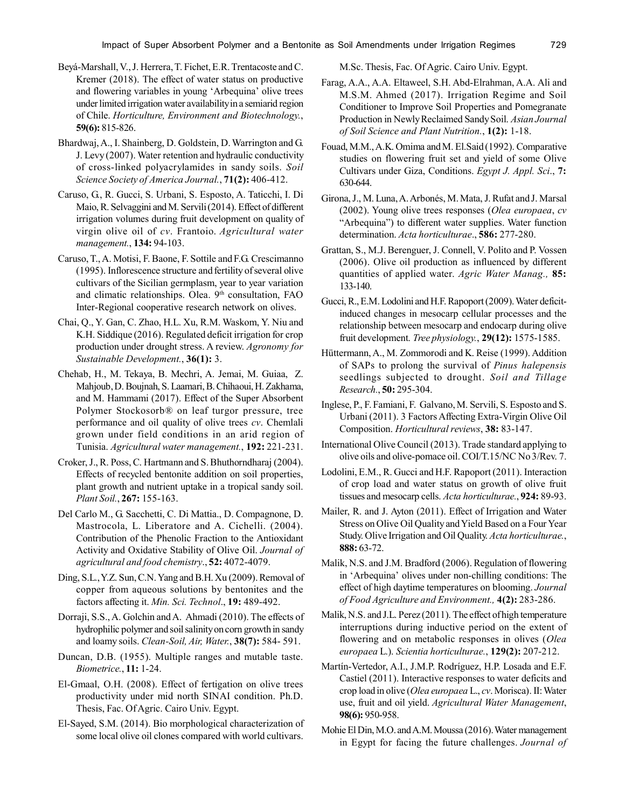- Beyá-Marshall, V., J. Herrera, T. Fichet, E.R. Trentacoste and C. Kremer (2018). The effect of water status on productive and flowering variables in young 'Arbequina' olive trees under limited irrigation water availability in a semiarid region of Chile. *Horticulture, Environment and Biotechnology.*, **59(6):** 815-826.
- Bhardwaj, A., I. Shainberg, D. Goldstein, D. Warrington and G. J. Levy (2007). Water retention and hydraulic conductivity of cross-linked polyacrylamides in sandy soils. *Soil Science Society of America Journal.*, **71(2):** 406-412.
- Caruso, G., R. Gucci, S. Urbani, S. Esposto, A. Taticchi, I. Di Maio, R. Selvaggini and M. Servili (2014). Effect of different irrigation volumes during fruit development on quality of virgin olive oil of *cv*. Frantoio. *Agricultural water management.*, **134:** 94-103.
- Caruso, T., A. Motisi, F. Baone, F. Sottile and F.G. Crescimanno (1995). Inflorescence structure and fertility of several olive cultivars of the Sicilian germplasm, year to year variation and climatic relationships. Olea. 9<sup>th</sup> consultation, FAO Inter-Regional cooperative research network on olives.
- Chai, Q., Y. Gan, C. Zhao, H.L. Xu, R.M. Waskom, Y. Niu and K.H. Siddique (2016). Regulated deficit irrigation for crop production under drought stress. A review. *Agronomy for Sustainable Development.*, **36(1):** 3.
- Chehab, H., M. Tekaya, B. Mechri, A. Jemai, M. Guiaa, Z. Mahjoub, D. Boujnah, S. Laamari, B. Chihaoui, H. Zakhama, and M. Hammami (2017). Effect of the Super Absorbent Polymer Stockosorb® on leaf turgor pressure, tree performance and oil quality of olive trees *cv*. Chemlali grown under field conditions in an arid region of Tunisia. *Agricultural water management.*, **192:** 221-231.
- Croker, J., R. Poss, C. Hartmann and S. Bhuthorndharaj (2004). Effects of recycled bentonite addition on soil properties, plant growth and nutrient uptake in a tropical sandy soil. *Plant Soil.*, **267:** 155-163.
- Del Carlo M., G. Sacchetti, C. Di Mattia., D. Compagnone, D. Mastrocola, L. Liberatore and A. Cichelli. (2004). Contribution of the Phenolic Fraction to the Antioxidant Activity and Oxidative Stability of Olive Oil. *Journal of agricultural and food chemistry*., **52:** 4072-4079.
- Ding, S.L., Y.Z. Sun, C.N. Yang and B.H. Xu (2009). Removal of copper from aqueous solutions by bentonites and the factors affecting it. *Min. Sci. Technol*., **19:** 489-492.
- Dorraji, S.S., A. Golchin and A. Ahmadi (2010). The effects of hydrophilic polymer and soil salinity on corn growth in sandy and loamy soils. *Clean-Soil, Air, Water.*, **38(7):** 584- 591.
- Duncan, D.B. (1955). Multiple ranges and mutable taste. *Biometrice.*, **11:** 1-24.
- El-Gmaal, O.H. (2008). Effect of fertigation on olive trees productivity under mid north SINAI condition. Ph.D. Thesis, Fac. Of Agric. Cairo Univ. Egypt.
- El-Sayed, S.M. (2014). Bio morphological characterization of some local olive oil clones compared with world cultivars.

M.Sc. Thesis, Fac. Of Agric. Cairo Univ. Egypt.

- Farag, A.A., A.A. Eltaweel, S.H. Abd-Elrahman, A.A. Ali and M.S.M. Ahmed (2017). Irrigation Regime and Soil Conditioner to Improve Soil Properties and Pomegranate Production in Newly Reclaimed Sandy Soil. *Asian Journal of Soil Science and Plant Nutrition.*, **1(2):** 1-18.
- Fouad, M.M., A.K. Omima and M. El.Said (1992). Comparative studies on flowering fruit set and yield of some Olive Cultivars under Giza, Conditions. *Egypt J. Appl. Sci*., **7:** 630-644.
- Girona, J., M. Luna, A. Arbonés, M. Mata, J. Rufat and J. Marsal (2002). Young olive trees responses (*Olea europaea*, *cv* "Arbequina") to different water supplies. Water function determination. *Acta horticulturae*., **586:** 277-280.
- Grattan, S., M.J. Berenguer, J. Connell, V. Polito and P. Vossen (2006). Olive oil production as influenced by different quantities of applied water. *Agric Water Manag.,* **85:** 133-140.
- Gucci, R., E.M. Lodolini and H.F. Rapoport (2009). Water deficitinduced changes in mesocarp cellular processes and the relationship between mesocarp and endocarp during olive fruit development. *Tree physiology.*, **29(12):** 1575-1585.
- Hüttermann, A., M. Zommorodi and K. Reise (1999). Addition of SAPs to prolong the survival of *Pinus halepensis* seedlings subjected to drought. *Soil and Tillage Research.*, **50:** 295-304.
- Inglese, P., F. Famiani, F. Galvano, M. Servili, S. Esposto and S. Urbani (2011). 3 Factors Affecting Extra-Virgin Olive Oil Composition. *Horticultural reviews*, **38:** 83-147.
- International Olive Council (2013). Trade standard applying to olive oils and olive-pomace oil. COI/T.15/NC No 3/Rev. 7.
- Lodolini, E.M., R. Gucci and H.F. Rapoport (2011). Interaction of crop load and water status on growth of olive fruit tissues and mesocarp cells. *Acta horticulturae.*, **924:** 89-93.
- Mailer, R. and J. Ayton (2011). Effect of Irrigation and Water Stress on Olive Oil Quality and Yield Based on a Four Year Study. Olive Irrigation and Oil Quality. *Acta horticulturae.*, **888:** 63-72.
- Malik, N.S. and J.M. Bradford (2006). Regulation of flowering in 'Arbequina' olives under non-chilling conditions: The effect of high daytime temperatures on blooming. *Journal of Food Agriculture and Environment.,* **4(2):** 283-286.
- Malik, N.S. and J.L. Perez (2011). The effect of high temperature interruptions during inductive period on the extent of flowering and on metabolic responses in olives (*Olea europaea* L.). *Scientia horticulturae.*, **129(2):** 207-212.
- Martín-Vertedor, A.I., J.M.P. Rodríguez, H.P. Losada and E.F. Castiel (2011). Interactive responses to water deficits and crop load in olive (*Olea europaea* L., *cv*. Morisca). II: Water use, fruit and oil yield. *Agricultural Water Management*, **98(6):** 950-958.
- Mohie El Din, M.O. and A.M. Moussa (2016). Water management in Egypt for facing the future challenges. *Journal of*